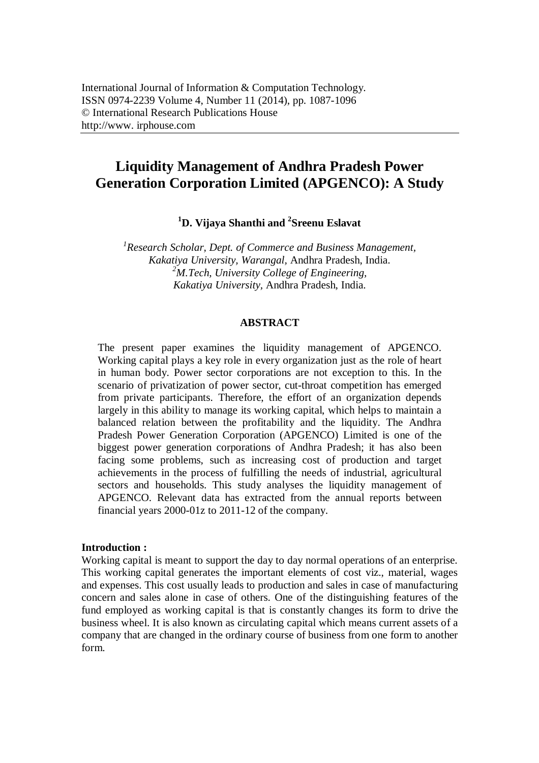# **Liquidity Management of Andhra Pradesh Power Generation Corporation Limited (APGENCO): A Study**

**<sup>1</sup>D. Vijaya Shanthi and <sup>2</sup> Sreenu Eslavat**

*1 Research Scholar, Dept. of Commerce and Business Management, Kakatiya University, Warangal,* Andhra Pradesh, India. *<sup>2</sup>M.Tech, University College of Engineering, Kakatiya University,* Andhra Pradesh, India.

## **ABSTRACT**

The present paper examines the liquidity management of APGENCO. Working capital plays a key role in every organization just as the role of heart in human body. Power sector corporations are not exception to this. In the scenario of privatization of power sector, cut-throat competition has emerged from private participants. Therefore, the effort of an organization depends largely in this ability to manage its working capital, which helps to maintain a balanced relation between the profitability and the liquidity. The Andhra Pradesh Power Generation Corporation (APGENCO) Limited is one of the biggest power generation corporations of Andhra Pradesh; it has also been facing some problems, such as increasing cost of production and target achievements in the process of fulfilling the needs of industrial, agricultural sectors and households. This study analyses the liquidity management of APGENCO. Relevant data has extracted from the annual reports between financial years 2000-01z to 2011-12 of the company.

#### **Introduction :**

Working capital is meant to support the day to day normal operations of an enterprise. This working capital generates the important elements of cost viz., material, wages and expenses. This cost usually leads to production and sales in case of manufacturing concern and sales alone in case of others. One of the distinguishing features of the fund employed as working capital is that is constantly changes its form to drive the business wheel. It is also known as circulating capital which means current assets of a company that are changed in the ordinary course of business from one form to another form.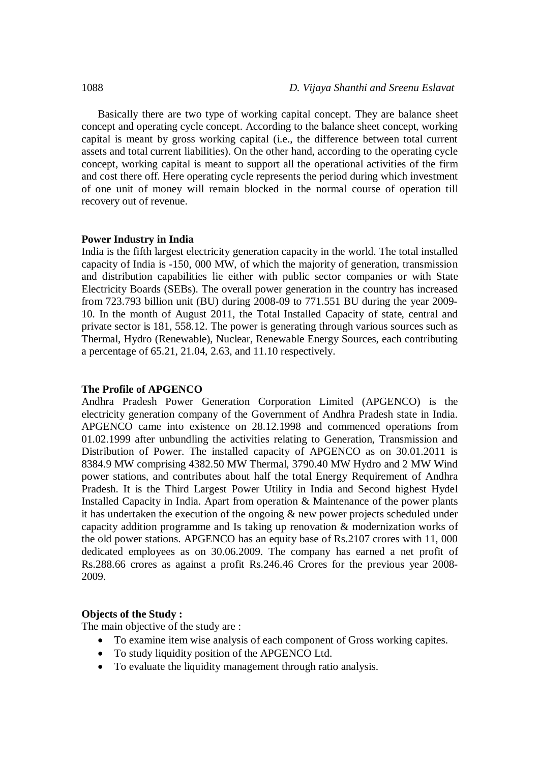Basically there are two type of working capital concept. They are balance sheet concept and operating cycle concept. According to the balance sheet concept, working capital is meant by gross working capital (i.e., the difference between total current assets and total current liabilities). On the other hand, according to the operating cycle concept, working capital is meant to support all the operational activities of the firm and cost there off. Here operating cycle represents the period during which investment of one unit of money will remain blocked in the normal course of operation till recovery out of revenue.

#### **Power Industry in India**

India is the fifth largest electricity generation capacity in the world. The total installed capacity of India is -150, 000 MW, of which the majority of generation, transmission and distribution capabilities lie either with public sector companies or with State Electricity Boards (SEBs). The overall power generation in the country has increased from 723.793 billion unit (BU) during 2008-09 to 771.551 BU during the year 2009- 10. In the month of August 2011, the Total Installed Capacity of state, central and private sector is 181, 558.12. The power is generating through various sources such as Thermal, Hydro (Renewable), Nuclear, Renewable Energy Sources, each contributing a percentage of 65.21, 21.04, 2.63, and 11.10 respectively.

#### **The Profile of APGENCO**

Andhra Pradesh Power Generation Corporation Limited (APGENCO) is the electricity generation company of the Government of Andhra Pradesh state in India. APGENCO came into existence on 28.12.1998 and commenced operations from 01.02.1999 after unbundling the activities relating to Generation, Transmission and Distribution of Power. The installed capacity of APGENCO as on 30.01.2011 is 8384.9 MW comprising 4382.50 MW Thermal, 3790.40 MW Hydro and 2 MW Wind power stations, and contributes about half the total Energy Requirement of Andhra Pradesh. It is the Third Largest Power Utility in India and Second highest Hydel Installed Capacity in India. Apart from operation & Maintenance of the power plants it has undertaken the execution of the ongoing & new power projects scheduled under capacity addition programme and Is taking up renovation & modernization works of the old power stations. APGENCO has an equity base of Rs.2107 crores with 11, 000 dedicated employees as on 30.06.2009. The company has earned a net profit of Rs.288.66 crores as against a profit Rs.246.46 Crores for the previous year 2008- 2009.

## **Objects of the Study :**

The main objective of the study are :

- To examine item wise analysis of each component of Gross working capites.
- To study liquidity position of the APGENCO Ltd.
- To evaluate the liquidity management through ratio analysis.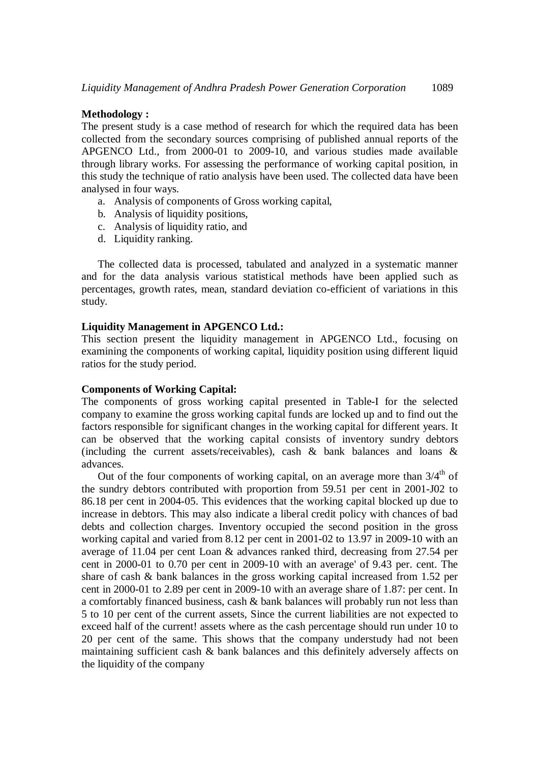## **Methodology :**

The present study is a case method of research for which the required data has been collected from the secondary sources comprising of published annual reports of the APGENCO Ltd., from 2000-01 to 2009-10, and various studies made available through library works. For assessing the performance of working capital position, in this study the technique of ratio analysis have been used. The collected data have been analysed in four ways.

- a. Analysis of components of Gross working capital,
- b. Analysis of liquidity positions,
- c. Analysis of liquidity ratio, and
- d. Liquidity ranking.

The collected data is processed, tabulated and analyzed in a systematic manner and for the data analysis various statistical methods have been applied such as percentages, growth rates, mean, standard deviation co-efficient of variations in this study.

## **Liquidity Management in APGENCO Ltd.:**

This section present the liquidity management in APGENCO Ltd., focusing on examining the components of working capital, liquidity position using different liquid ratios for the study period.

#### **Components of Working Capital:**

The components of gross working capital presented in Table-I for the selected company to examine the gross working capital funds are locked up and to find out the factors responsible for significant changes in the working capital for different years. It can be observed that the working capital consists of inventory sundry debtors (including the current assets/receivables), cash & bank balances and loans & advances.

Out of the four components of working capital, on an average more than  $3/4<sup>th</sup>$  of the sundry debtors contributed with proportion from 59.51 per cent in 2001-J02 to 86.18 per cent in 2004-05. This evidences that the working capital blocked up due to increase in debtors. This may also indicate a liberal credit policy with chances of bad debts and collection charges. Inventory occupied the second position in the gross working capital and varied from 8.12 per cent in 2001-02 to 13.97 in 2009-10 with an average of 11.04 per cent Loan & advances ranked third, decreasing from 27.54 per cent in 2000-01 to 0.70 per cent in 2009-10 with an average' of 9.43 per. cent. The share of cash & bank balances in the gross working capital increased from 1.52 per cent in 2000-01 to 2.89 per cent in 2009-10 with an average share of 1.87: per cent. In a comfortably financed business, cash & bank balances will probably run not less than 5 to 10 per cent of the current assets, Since the current liabilities are not expected to exceed half of the current! assets where as the cash percentage should run under 10 to 20 per cent of the same. This shows that the company understudy had not been maintaining sufficient cash & bank balances and this definitely adversely affects on the liquidity of the company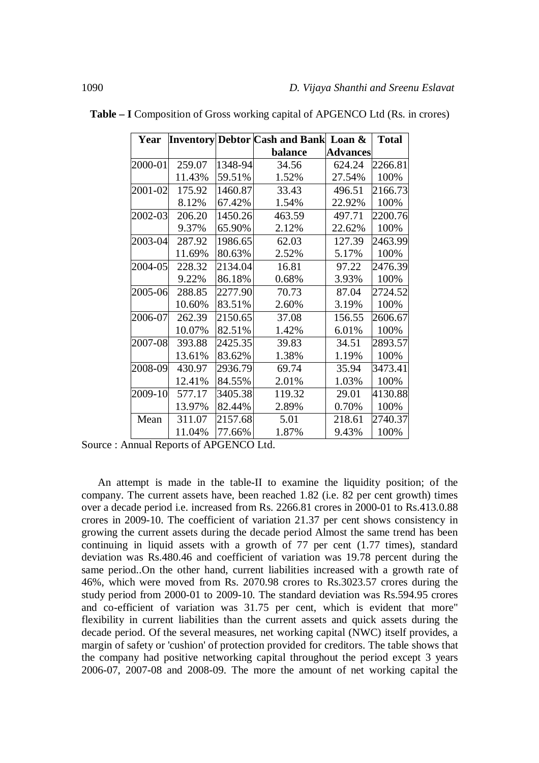| Year    |        |         | <b>Inventory Debtor Cash and Bank Loan &amp;</b> |                 | <b>Total</b> |
|---------|--------|---------|--------------------------------------------------|-----------------|--------------|
|         |        |         | balance                                          | <b>Advances</b> |              |
| 2000-01 | 259.07 | 1348-94 | 34.56                                            | 624.24          | 2266.81      |
|         | 11.43% | 59.51%  | 1.52%                                            | 27.54%          | 100%         |
| 2001-02 | 175.92 | 1460.87 | 33.43                                            | 496.51          | 2166.73      |
|         | 8.12%  | 67.42%  | 1.54%                                            | 22.92%          | 100%         |
| 2002-03 | 206.20 | 1450.26 | 463.59                                           | 497.71          | 2200.76      |
|         | 9.37%  | 65.90%  | 2.12%                                            | 22.62%          | 100%         |
| 2003-04 | 287.92 | 1986.65 | 62.03                                            | 127.39          | 2463.99      |
|         | 11.69% | 80.63%  | 2.52%                                            | 5.17%           | 100%         |
| 2004-05 | 228.32 | 2134.04 | 16.81                                            | 97.22           | 2476.39      |
|         | 9.22%  | 86.18%  | 0.68%                                            | 3.93%           | 100%         |
| 2005-06 | 288.85 | 2277.90 | 70.73                                            | 87.04           | 2724.52      |
|         | 10.60% | 83.51%  | 2.60%                                            | 3.19%           | 100%         |
| 2006-07 | 262.39 | 2150.65 | 37.08                                            | 156.55          | 2606.67      |
|         | 10.07% | 82.51%  | 1.42%                                            | 6.01%           | 100%         |
| 2007-08 | 393.88 | 2425.35 | 39.83                                            | 34.51           | 2893.57      |
|         | 13.61% | 83.62%  | 1.38%                                            | 1.19%           | 100%         |
| 2008-09 | 430.97 | 2936.79 | 69.74                                            | 35.94           | 3473.41      |
|         | 12.41% | 84.55%  | 2.01%                                            | 1.03%           | 100%         |
| 2009-10 | 577.17 | 3405.38 | 119.32                                           | 29.01           | 4130.88      |
|         | 13.97% | 82.44%  | 2.89%                                            | 0.70%           | 100%         |
| Mean    | 311.07 | 2157.68 | 5.01                                             | 218.61          | 2740.37      |
|         | 11.04% | 77.66%  | 1.87%                                            | 9.43%           | 100%         |

**Table – I** Composition of Gross working capital of APGENCO Ltd (Rs. in crores)

Source : Annual Reports of APGENCO Ltd.

An attempt is made in the table-II to examine the liquidity position; of the company. The current assets have, been reached 1.82 (i.e. 82 per cent growth) times over a decade period i.e. increased from Rs. 2266.81 crores in 2000-01 to Rs.413.0.88 crores in 2009-10. The coefficient of variation 21.37 per cent shows consistency in growing the current assets during the decade period Almost the same trend has been continuing in liquid assets with a growth of 77 per cent (1.77 times), standard deviation was Rs.480.46 and coefficient of variation was 19.78 percent during the same period..On the other hand, current liabilities increased with a growth rate of 46%, which were moved from Rs. 2070.98 crores to Rs.3023.57 crores during the study period from 2000-01 to 2009-10. The standard deviation was Rs.594.95 crores and co-efficient of variation was 31.75 per cent, which is evident that more" flexibility in current liabilities than the current assets and quick assets during the decade period. Of the several measures, net working capital (NWC) itself provides, a margin of safety or 'cushion' of protection provided for creditors. The table shows that the company had positive networking capital throughout the period except 3 years 2006-07, 2007-08 and 2008-09. The more the amount of net working capital the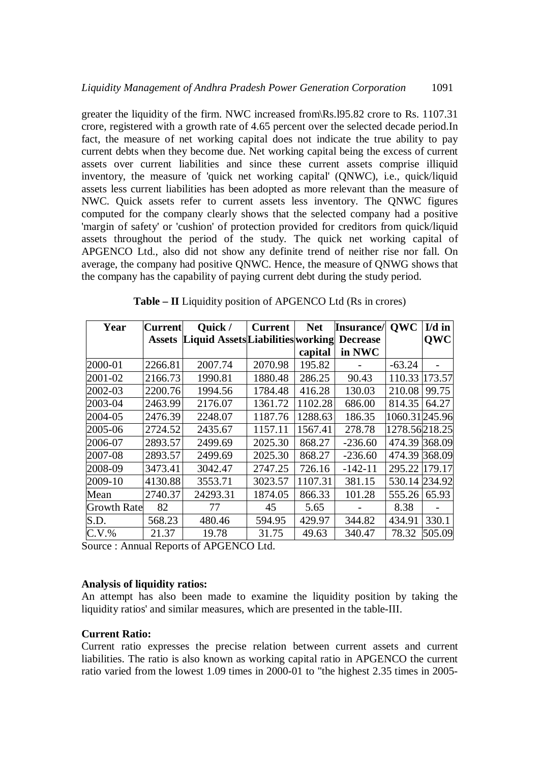greater the liquidity of the firm. NWC increased from\Rs.l95.82 crore to Rs. 1107.31 crore, registered with a growth rate of 4.65 percent over the selected decade period.In fact, the measure of net working capital does not indicate the true ability to pay current debts when they become due. Net working capital being the excess of current assets over current liabilities and since these current assets comprise illiquid inventory, the measure of 'quick net working capital' (QNWC), i.e., quick/liquid assets less current liabilities has been adopted as more relevant than the measure of NWC. Quick assets refer to current assets less inventory. The QNWC figures computed for the company clearly shows that the selected company had a positive 'margin of safety' or 'cushion' of protection provided for creditors from quick/liquid assets throughout the period of the study. The quick net working capital of APGENCO Ltd., also did not show any definite trend of neither rise nor fall. On average, the company had positive QNWC. Hence, the measure of QNWG shows that the company has the capability of paying current debt during the study period.

| Year        | Current       | Quick /                           | <b>Current</b> | <b>Net</b> | Insurance/      | <b>OWC</b>    | $I/d$ in   |
|-------------|---------------|-----------------------------------|----------------|------------|-----------------|---------------|------------|
|             | <b>Assets</b> | Liquid Assets Liabilities working |                |            | <b>Decrease</b> |               | <b>OWC</b> |
|             |               |                                   |                | capital    | in NWC          |               |            |
| 2000-01     | 2266.81       | 2007.74                           | 2070.98        | 195.82     |                 | $-63.24$      |            |
| 2001-02     | 2166.73       | 1990.81                           | 1880.48        | 286.25     | 90.43           | 110.33 173.57 |            |
| 2002-03     | 2200.76       | 1994.56                           | 1784.48        | 416.28     | 130.03          | 210.08        | 99.75      |
| 2003-04     | 2463.99       | 2176.07                           | 1361.72        | 1102.28    | 686.00          | 814.35        | 64.27      |
| 2004-05     | 2476.39       | 2248.07                           | 1187.76        | 1288.63    | 186.35          | 1060.31245.96 |            |
| 2005-06     | 2724.52       | 2435.67                           | 1157.11        | 1567.41    | 278.78          | 1278.56218.25 |            |
| 2006-07     | 2893.57       | 2499.69                           | 2025.30        | 868.27     | $-236.60$       | 474.39 368.09 |            |
| 2007-08     | 2893.57       | 2499.69                           | 2025.30        | 868.27     | $-236.60$       | 474.39 368.09 |            |
| 2008-09     | 3473.41       | 3042.47                           | 2747.25        | 726.16     | $-142-11$       | 295.22        | 179.17     |
| 2009-10     | 4130.88       | 3553.71                           | 3023.57        | 1107.31    | 381.15          | 530.14        | 234.92     |
| Mean        | 2740.37       | 24293.31                          | 1874.05        | 866.33     | 101.28          | 555.26        | 65.93      |
| Growth Rate | 82            | 77                                | 45             | 5.65       |                 | 8.38          |            |
| S.D.        | 568.23        | 480.46                            | 594.95         | 429.97     | 344.82          | 434.91        | 330.1      |
| $C.V.$ %    | 21.37         | 19.78                             | 31.75          | 49.63      | 340.47          | 78.32         | 505.09     |

**Table – II** Liquidity position of APGENCO Ltd (Rs in crores)

Source : Annual Reports of APGENCO Ltd.

## **Analysis of liquidity ratios:**

An attempt has also been made to examine the liquidity position by taking the liquidity ratios' and similar measures, which are presented in the table-III.

## **Current Ratio:**

Current ratio expresses the precise relation between current assets and current liabilities. The ratio is also known as working capital ratio in APGENCO the current ratio varied from the lowest 1.09 times in  $2000-01$  to "the highest 2.35 times in 2005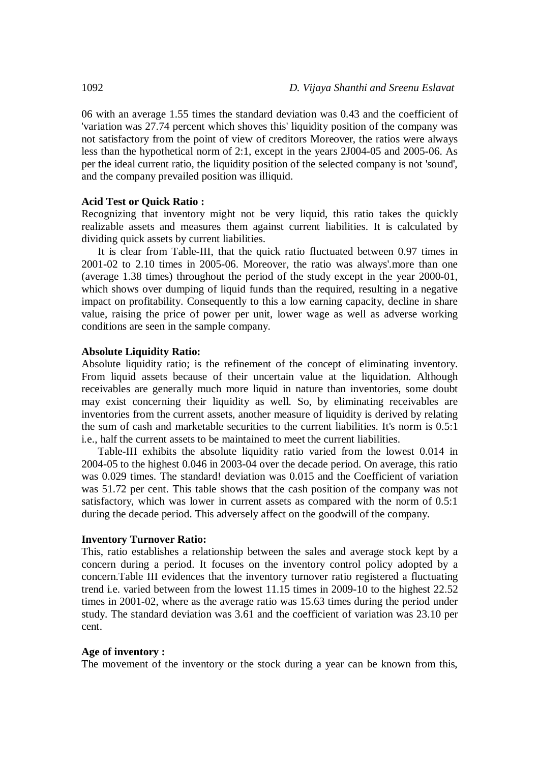06 with an average 1.55 times the standard deviation was 0.43 and the coefficient of 'variation was 27.74 percent which shoves this' liquidity position of the company was not satisfactory from the point of view of creditors Moreover, the ratios were always less than the hypothetical norm of 2:1, except in the years 2J004-05 and 2005-06. As per the ideal current ratio, the liquidity position of the selected company is not 'sound', and the company prevailed position was illiquid.

#### **Acid Test or Quick Ratio :**

Recognizing that inventory might not be very liquid, this ratio takes the quickly realizable assets and measures them against current liabilities. It is calculated by dividing quick assets by current liabilities.

It is clear from Table-III, that the quick ratio fluctuated between 0.97 times in 2001-02 to 2.10 times in 2005-06. Moreover, the ratio was always'.more than one (average 1.38 times) throughout the period of the study except in the year 2000-01, which shows over dumping of liquid funds than the required, resulting in a negative impact on profitability. Consequently to this a low earning capacity, decline in share value, raising the price of power per unit, lower wage as well as adverse working conditions are seen in the sample company.

## **Absolute Liquidity Ratio:**

Absolute liquidity ratio; is the refinement of the concept of eliminating inventory. From liquid assets because of their uncertain value at the liquidation. Although receivables are generally much more liquid in nature than inventories, some doubt may exist concerning their liquidity as well. So, by eliminating receivables are inventories from the current assets, another measure of liquidity is derived by relating the sum of cash and marketable securities to the current liabilities. It's norm is 0.5:1 i.e., half the current assets to be maintained to meet the current liabilities.

Table-III exhibits the absolute liquidity ratio varied from the lowest 0.014 in 2004-05 to the highest 0.046 in 2003-04 over the decade period. On average, this ratio was 0.029 times. The standard! deviation was 0.015 and the Coefficient of variation was 51.72 per cent. This table shows that the cash position of the company was not satisfactory, which was lower in current assets as compared with the norm of 0.5:1 during the decade period. This adversely affect on the goodwill of the company.

#### **Inventory Turnover Ratio:**

This, ratio establishes a relationship between the sales and average stock kept by a concern during a period. It focuses on the inventory control policy adopted by a concern.Table III evidences that the inventory turnover ratio registered a fluctuating trend i.e. varied between from the lowest 11.15 times in 2009-10 to the highest 22.52 times in 2001-02, where as the average ratio was 15.63 times during the period under study. The standard deviation was 3.61 and the coefficient of variation was 23.10 per cent.

#### **Age of inventory :**

The movement of the inventory or the stock during a year can be known from this,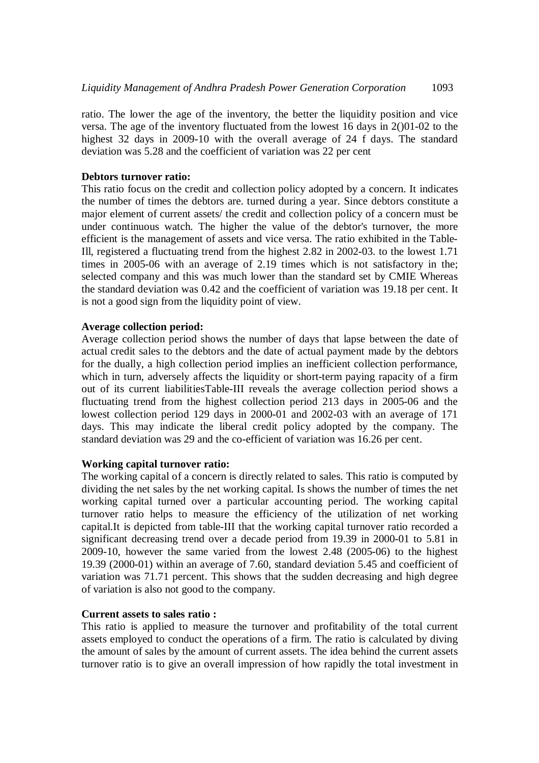ratio. The lower the age of the inventory, the better the liquidity position and vice versa. The age of the inventory fluctuated from the lowest 16 days in 2()01-02 to the highest 32 days in 2009-10 with the overall average of 24 f days. The standard deviation was 5.28 and the coefficient of variation was 22 per cent

## **Debtors turnover ratio:**

This ratio focus on the credit and collection policy adopted by a concern. It indicates the number of times the debtors are. turned during a year. Since debtors constitute a major element of current assets/ the credit and collection policy of a concern must be under continuous watch. The higher the value of the debtor's turnover, the more efficient is the management of assets and vice versa. The ratio exhibited in the Table-Ill, registered a fluctuating trend from the highest 2.82 in 2002-03. to the lowest 1.71 times in 2005-06 with an average of 2.19 times which is not satisfactory in the; selected company and this was much lower than the standard set by CMIE Whereas the standard deviation was 0.42 and the coefficient of variation was 19.18 per cent. It is not a good sign from the liquidity point of view.

# **Average collection period:**

Average collection period shows the number of days that lapse between the date of actual credit sales to the debtors and the date of actual payment made by the debtors for the dually, a high collection period implies an inefficient collection performance, which in turn, adversely affects the liquidity or short-term paying rapacity of a firm out of its current liabilitiesTable-III reveals the average collection period shows a fluctuating trend from the highest collection period 213 days in 2005-06 and the lowest collection period 129 days in 2000-01 and 2002-03 with an average of 171 days. This may indicate the liberal credit policy adopted by the company. The standard deviation was 29 and the co-efficient of variation was 16.26 per cent.

## **Working capital turnover ratio:**

The working capital of a concern is directly related to sales. This ratio is computed by dividing the net sales by the net working capital. Is shows the number of times the net working capital turned over a particular accounting period. The working capital turnover ratio helps to measure the efficiency of the utilization of net working capital.It is depicted from table-III that the working capital turnover ratio recorded a significant decreasing trend over a decade period from 19.39 in 2000-01 to 5.81 in 2009-10, however the same varied from the lowest 2.48 (2005-06) to the highest 19.39 (2000-01) within an average of 7.60, standard deviation 5.45 and coefficient of variation was 71.71 percent. This shows that the sudden decreasing and high degree of variation is also not good to the company.

# **Current assets to sales ratio :**

This ratio is applied to measure the turnover and profitability of the total current assets employed to conduct the operations of a firm. The ratio is calculated by diving the amount of sales by the amount of current assets. The idea behind the current assets turnover ratio is to give an overall impression of how rapidly the total investment in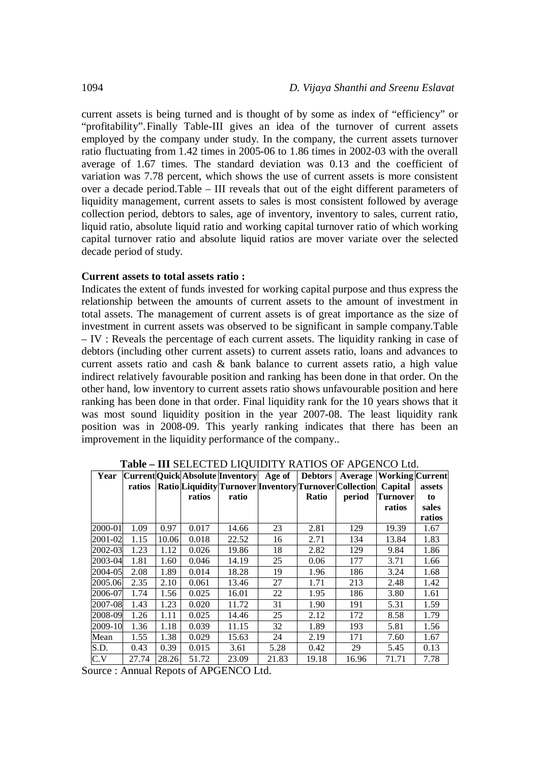current assets is being turned and is thought of by some as index of "efficiency" or "profitability".Finally Table-III gives an idea of the turnover of current assets employed by the company under study. In the company, the current assets turnover ratio fluctuating from 1.42 times in 2005-06 to 1.86 times in 2002-03 with the overall average of 1.67 times. The standard deviation was 0.13 and the coefficient of variation was 7.78 percent, which shows the use of current assets is more consistent over a decade period.Table – III reveals that out of the eight different parameters of liquidity management, current assets to sales is most consistent followed by average collection period, debtors to sales, age of inventory, inventory to sales, current ratio, liquid ratio, absolute liquid ratio and working capital turnover ratio of which working capital turnover ratio and absolute liquid ratios are mover variate over the selected decade period of study.

#### **Current assets to total assets ratio :**

Indicates the extent of funds invested for working capital purpose and thus express the relationship between the amounts of current assets to the amount of investment in total assets. The management of current assets is of great importance as the size of investment in current assets was observed to be significant in sample company.Table – IV : Reveals the percentage of each current assets. The liquidity ranking in case of debtors (including other current assets) to current assets ratio, loans and advances to current assets ratio and cash & bank balance to current assets ratio, a high value indirect relatively favourable position and ranking has been done in that order. On the other hand, low inventory to current assets ratio shows unfavourable position and here ranking has been done in that order. Final liquidity rank for the 10 years shows that it was most sound liquidity position in the year 2007-08. The least liquidity rank position was in 2008-09. This yearly ranking indicates that there has been an improvement in the liquidity performance of the company..

| <b>Table – III</b> SEEECTED EIQUIDITT KATIOS OF AFUERCO ERG.<br> Current Quick Absolute Inventory  Age of   Debtors  <br><b>Average Working Current</b> |        |       |        |       |       |       |                                                                 |          |        |  |
|---------------------------------------------------------------------------------------------------------------------------------------------------------|--------|-------|--------|-------|-------|-------|-----------------------------------------------------------------|----------|--------|--|
| Year                                                                                                                                                    |        |       |        |       |       |       |                                                                 |          |        |  |
|                                                                                                                                                         | ratios |       |        |       |       |       | Ratio Liquidity Turnover Inventory Turnover Collection  Capital |          | assets |  |
|                                                                                                                                                         |        |       | ratios | ratio |       | Ratio | period                                                          | Turnover | to     |  |
|                                                                                                                                                         |        |       |        |       |       |       |                                                                 | ratios   | sales  |  |
|                                                                                                                                                         |        |       |        |       |       |       |                                                                 |          | ratios |  |
| 2000-01                                                                                                                                                 | 1.09   | 0.97  | 0.017  | 14.66 | 23    | 2.81  | 129                                                             | 19.39    | 1.67   |  |
| 2001-02                                                                                                                                                 | 1.15   | 10.06 | 0.018  | 22.52 | 16    | 2.71  | 134                                                             | 13.84    | 1.83   |  |
| 2002-03                                                                                                                                                 | 1.23   | 1.12  | 0.026  | 19.86 | 18    | 2.82  | 129                                                             | 9.84     | 1.86   |  |
| 2003-04                                                                                                                                                 | 1.81   | 1.60  | 0.046  | 14.19 | 25    | 0.06  | 177                                                             | 3.71     | 1.66   |  |
| 2004-05                                                                                                                                                 | 2.08   | 1.89  | 0.014  | 18.28 | 19    | 1.96  | 186                                                             | 3.24     | 1.68   |  |
| 2005.06                                                                                                                                                 | 2.35   | 2.10  | 0.061  | 13.46 | 27    | 1.71  | 213                                                             | 2.48     | 1.42   |  |
| 2006-07                                                                                                                                                 | 1.74   | 1.56  | 0.025  | 16.01 | 22    | 1.95  | 186                                                             | 3.80     | 1.61   |  |
| 2007-08                                                                                                                                                 | 1.43   | 1.23  | 0.020  | 11.72 | 31    | 1.90  | 191                                                             | 5.31     | 1.59   |  |
| 2008-09                                                                                                                                                 | 1.26   | 1.11  | 0.025  | 14.46 | 25    | 2.12  | 172                                                             | 8.58     | 1.79   |  |
| 2009-10                                                                                                                                                 | 1.36   | 1.18  | 0.039  | 11.15 | 32    | 1.89  | 193                                                             | 5.81     | 1.56   |  |
| Mean                                                                                                                                                    | 1.55   | 1.38  | 0.029  | 15.63 | 24    | 2.19  | 171                                                             | 7.60     | 1.67   |  |
| S.D.                                                                                                                                                    | 0.43   | 0.39  | 0.015  | 3.61  | 5.28  | 0.42  | 29                                                              | 5.45     | 0.13   |  |
| C.V                                                                                                                                                     | 27.74  | 28.26 | 51.72  | 23.09 | 21.83 | 19.18 | 16.96                                                           | 71.71    | 7.78   |  |

**Table – III** SELECTED LIQUIDITY RATIOS OF APGENCO Ltd.

Source : Annual Repots of APGENCO Ltd.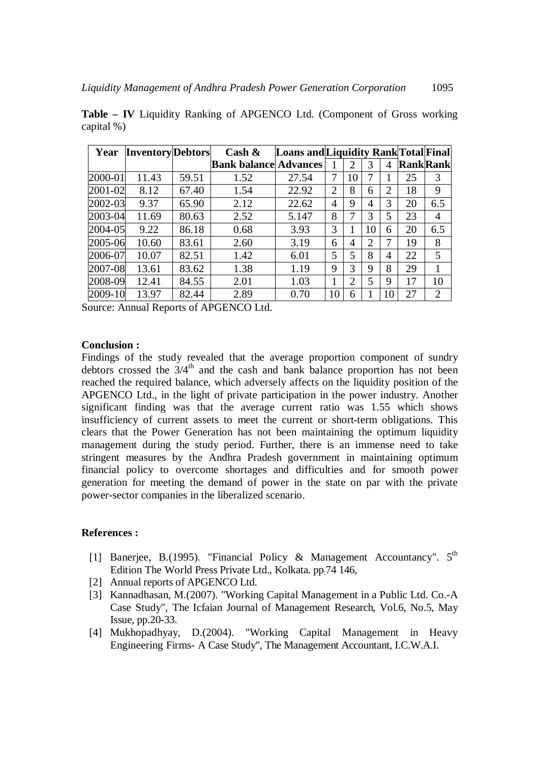| Year    | <b>Inventory</b> Debtors |       | Cash $\&$                    | <b>Loans and Liquidity Rank Total Final</b> |                |                |                |                 |                 |                |
|---------|--------------------------|-------|------------------------------|---------------------------------------------|----------------|----------------|----------------|-----------------|-----------------|----------------|
|         |                          |       | <b>Bank balance Advances</b> |                                             |                | 2              | 3              | 4               | <b>RankRank</b> |                |
| 2000-01 | 11.43                    | 59.51 | 1.52                         | 27.54                                       | 7              | 10             |                |                 | 25              | 3              |
| 2001-02 | 8.12                     | 67.40 | 1.54                         | 22.92                                       | $\overline{2}$ | 8              | 6              | $\overline{2}$  | 18              | 9              |
| 2002-03 | 9.37                     | 65.90 | 2.12                         | 22.62                                       | 4              | 9              | 4              | 3               | 20              | 6.5            |
| 2003-04 | 11.69                    | 80.63 | 2.52                         | 5.147                                       | 8              | 7              | 3              | 5               | 23              | 4              |
| 2004-05 | 9.22                     | 86.18 | 0.68                         | 3.93                                        | 3              |                | 10             | 6               | 20              | 6.5            |
| 2005-06 | 10.60                    | 83.61 | 2.60                         | 3.19                                        | 6              | 4              | $\overline{2}$ | 7               | 19              | 8              |
| 2006-07 | 10.07                    | 82.51 | 1.42                         | 6.01                                        | 5              | 5              | 8              | 4               | 22              | 5              |
| 2007-08 | 13.61                    | 83.62 | 1.38                         | 1.19                                        | 9              | 3              | 9              | 8               | 29              |                |
| 2008-09 | 12.41                    | 84.55 | 2.01                         | 1.03                                        |                | $\overline{2}$ | 5              | 9               | 17              | 10             |
| 2009-10 | 13.97                    | 82.44 | 2.89                         | 0.70                                        | 10             | 6              |                | 10 <sup>1</sup> | 27              | $\overline{2}$ |

**Table – IV** Liquidity Ranking of APGENCO Ltd. (Component of Gross working capital %)

Source: Annual Reports of APGENCO Ltd.

## **Conclusion :**

Findings of the study revealed that the average proportion component of sundry debtors crossed the  $3/4<sup>th</sup>$  and the cash and bank balance proportion has not been reached the required balance, which adversely affects on the liquidity position of the APGENCO Ltd., in the light of private participation in the power industry. Another significant finding was that the average current ratio was 1.55 which shows insufficiency of current assets to meet the current or short-term obligations. This clears that the Power Generation has not been maintaining the optimum liquidity management during the study period. Further, there is an immense need to take stringent measures by the Andhra Pradesh government in maintaining optimum financial policy to overcome shortages and difficulties and for smooth power generation for meeting the demand of power in the state on par with the private power-sector companies in the liberalized scenario.

## **References :**

- [1] Banerjee, B.(1995). "Financial Policy & Management Accountancy". 5<sup>th</sup> Edition The World Press Private Ltd., Kolkata. pp:74 146,
- [2] Annual reports of APGENCO Ltd.
- [3] Kannadhasan, M.(2007). "Working Capital Management in a Public Ltd. Co.-A Case Study", The Icfaian Journal of Management Research, Vol.6, No.5, May Issue, pp.20-33.
- [4] Mukhopadhyay, D.(2004). "Working Capital Management in Heavy Engineering Firms- A Case Study", The Management Accountant, I.C.W.A.I.